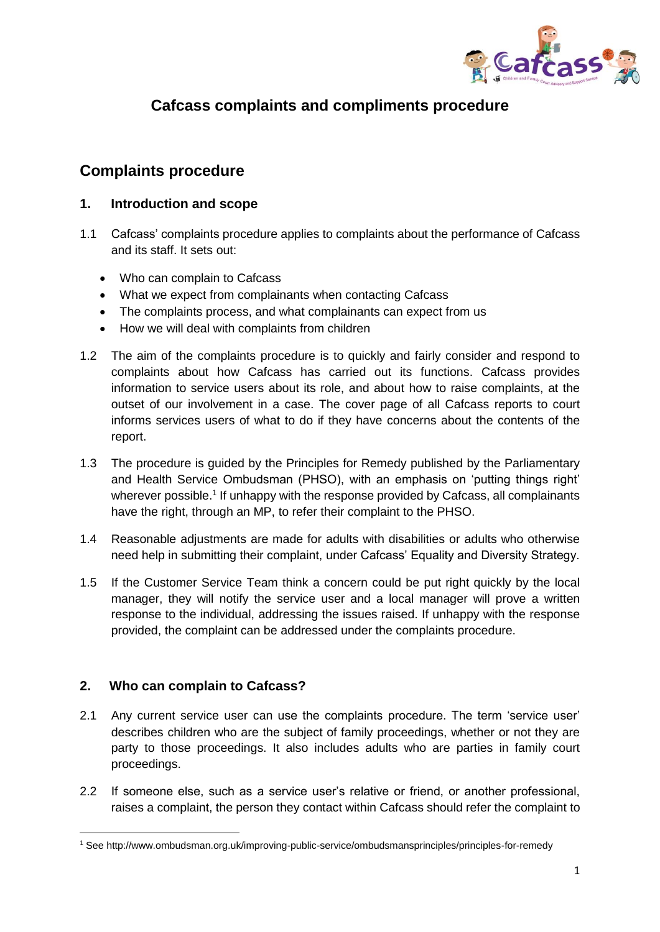

# **Cafcass complaints and compliments procedure**

## **Complaints procedure**

#### **1. Introduction and scope**

- 1.1 Cafcass' complaints procedure applies to complaints about the performance of Cafcass and its staff. It sets out:
	- Who can complain to Cafcass
	- What we expect from complainants when contacting Cafcass
	- The complaints process, and what complainants can expect from us
	- How we will deal with complaints from children
- 1.2 The aim of the complaints procedure is to quickly and fairly consider and respond to complaints about how Cafcass has carried out its functions. Cafcass provides information to service users about its role, and about how to raise complaints, at the outset of our involvement in a case. The cover page of all Cafcass reports to court informs services users of what to do if they have concerns about the contents of the report.
- 1.3 The procedure is guided by the Principles for Remedy published by the Parliamentary and Health Service Ombudsman (PHSO), with an emphasis on 'putting things right' wherever possible.<sup>1</sup> If unhappy with the response provided by Cafcass, all complainants have the right, through an MP, to refer their complaint to the PHSO.
- 1.4 Reasonable adjustments are made for adults with disabilities or adults who otherwise need help in submitting their complaint, under Cafcass' Equality and Diversity Strategy.
- 1.5 If the Customer Service Team think a concern could be put right quickly by the local manager, they will notify the service user and a local manager will prove a written response to the individual, addressing the issues raised. If unhappy with the response provided, the complaint can be addressed under the complaints procedure.

### **2. Who can complain to Cafcass?**

**.** 

- 2.1 Any current service user can use the complaints procedure. The term 'service user' describes children who are the subject of family proceedings, whether or not they are party to those proceedings. It also includes adults who are parties in family court proceedings.
- 2.2 If someone else, such as a service user's relative or friend, or another professional, raises a complaint, the person they contact within Cafcass should refer the complaint to

<sup>1</sup> See http://www.ombudsman.org.uk/improving-public-service/ombudsmansprinciples/principles-for-remedy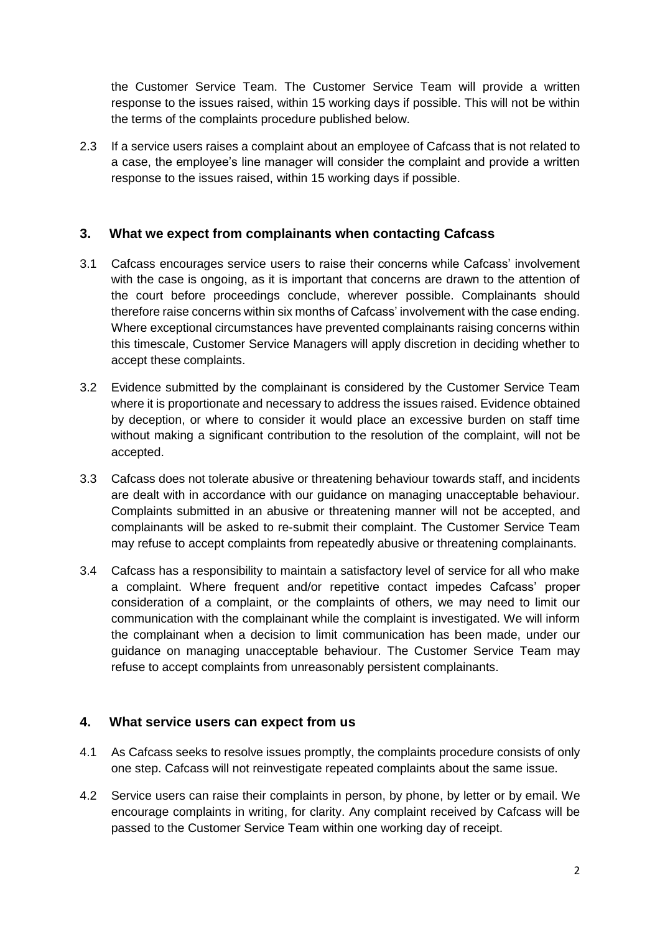the Customer Service Team. The Customer Service Team will provide a written response to the issues raised, within 15 working days if possible. This will not be within the terms of the complaints procedure published below.

2.3 If a service users raises a complaint about an employee of Cafcass that is not related to a case, the employee's line manager will consider the complaint and provide a written response to the issues raised, within 15 working days if possible.

#### **3. What we expect from complainants when contacting Cafcass**

- 3.1 Cafcass encourages service users to raise their concerns while Cafcass' involvement with the case is ongoing, as it is important that concerns are drawn to the attention of the court before proceedings conclude, wherever possible. Complainants should therefore raise concerns within six months of Cafcass' involvement with the case ending. Where exceptional circumstances have prevented complainants raising concerns within this timescale, Customer Service Managers will apply discretion in deciding whether to accept these complaints.
- 3.2 Evidence submitted by the complainant is considered by the Customer Service Team where it is proportionate and necessary to address the issues raised. Evidence obtained by deception, or where to consider it would place an excessive burden on staff time without making a significant contribution to the resolution of the complaint, will not be accepted.
- 3.3 Cafcass does not tolerate abusive or threatening behaviour towards staff, and incidents are dealt with in accordance with our guidance on managing unacceptable behaviour. Complaints submitted in an abusive or threatening manner will not be accepted, and complainants will be asked to re-submit their complaint. The Customer Service Team may refuse to accept complaints from repeatedly abusive or threatening complainants.
- 3.4 Cafcass has a responsibility to maintain a satisfactory level of service for all who make a complaint. Where frequent and/or repetitive contact impedes Cafcass' proper consideration of a complaint, or the complaints of others, we may need to limit our communication with the complainant while the complaint is investigated. We will inform the complainant when a decision to limit communication has been made, under our guidance on managing unacceptable behaviour. The Customer Service Team may refuse to accept complaints from unreasonably persistent complainants.

### **4. What service users can expect from us**

- 4.1 As Cafcass seeks to resolve issues promptly, the complaints procedure consists of only one step. Cafcass will not reinvestigate repeated complaints about the same issue.
- 4.2 Service users can raise their complaints in person, by phone, by letter or by email. We encourage complaints in writing, for clarity. Any complaint received by Cafcass will be passed to the Customer Service Team within one working day of receipt.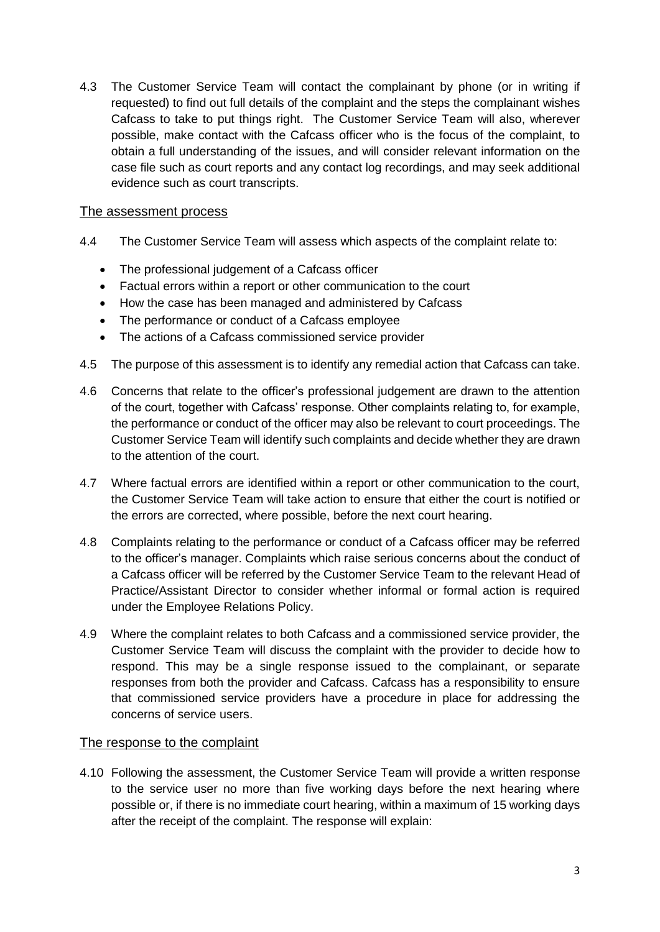4.3 The Customer Service Team will contact the complainant by phone (or in writing if requested) to find out full details of the complaint and the steps the complainant wishes Cafcass to take to put things right. The Customer Service Team will also, wherever possible, make contact with the Cafcass officer who is the focus of the complaint, to obtain a full understanding of the issues, and will consider relevant information on the case file such as court reports and any contact log recordings, and may seek additional evidence such as court transcripts.

#### The assessment process

- 4.4 The Customer Service Team will assess which aspects of the complaint relate to:
	- The professional judgement of a Cafcass officer
	- Factual errors within a report or other communication to the court
	- How the case has been managed and administered by Cafcass
	- The performance or conduct of a Cafcass employee
	- The actions of a Cafcass commissioned service provider
- 4.5 The purpose of this assessment is to identify any remedial action that Cafcass can take.
- 4.6 Concerns that relate to the officer's professional judgement are drawn to the attention of the court, together with Cafcass' response. Other complaints relating to, for example, the performance or conduct of the officer may also be relevant to court proceedings. The Customer Service Team will identify such complaints and decide whether they are drawn to the attention of the court.
- 4.7 Where factual errors are identified within a report or other communication to the court, the Customer Service Team will take action to ensure that either the court is notified or the errors are corrected, where possible, before the next court hearing.
- 4.8 Complaints relating to the performance or conduct of a Cafcass officer may be referred to the officer's manager. Complaints which raise serious concerns about the conduct of a Cafcass officer will be referred by the Customer Service Team to the relevant Head of Practice/Assistant Director to consider whether informal or formal action is required under the Employee Relations Policy.
- 4.9 Where the complaint relates to both Cafcass and a commissioned service provider, the Customer Service Team will discuss the complaint with the provider to decide how to respond. This may be a single response issued to the complainant, or separate responses from both the provider and Cafcass. Cafcass has a responsibility to ensure that commissioned service providers have a procedure in place for addressing the concerns of service users.

#### The response to the complaint

4.10 Following the assessment, the Customer Service Team will provide a written response to the service user no more than five working days before the next hearing where possible or, if there is no immediate court hearing, within a maximum of 15 working days after the receipt of the complaint. The response will explain: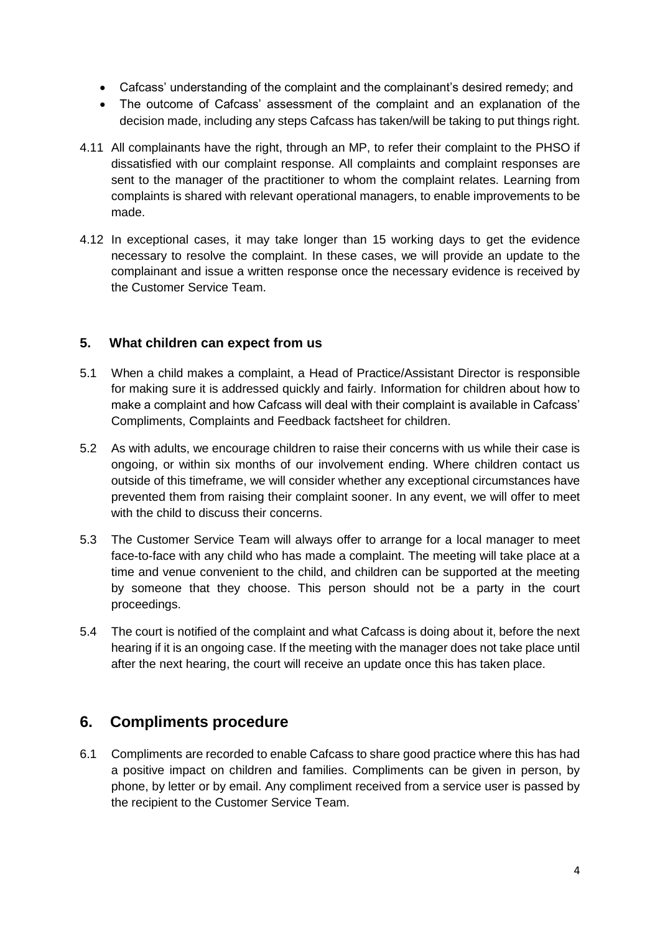- Cafcass' understanding of the complaint and the complainant's desired remedy; and
- The outcome of Cafcass' assessment of the complaint and an explanation of the decision made, including any steps Cafcass has taken/will be taking to put things right.
- 4.11 All complainants have the right, through an MP, to refer their complaint to the PHSO if dissatisfied with our complaint response. All complaints and complaint responses are sent to the manager of the practitioner to whom the complaint relates. Learning from complaints is shared with relevant operational managers, to enable improvements to be made.
- 4.12 In exceptional cases, it may take longer than 15 working days to get the evidence necessary to resolve the complaint. In these cases, we will provide an update to the complainant and issue a written response once the necessary evidence is received by the Customer Service Team.

#### **5. What children can expect from us**

- 5.1 When a child makes a complaint, a Head of Practice/Assistant Director is responsible for making sure it is addressed quickly and fairly. Information for children about how to make a complaint and how Cafcass will deal with their complaint is available in Cafcass' Compliments, Complaints and Feedback factsheet for children.
- 5.2 As with adults, we encourage children to raise their concerns with us while their case is ongoing, or within six months of our involvement ending. Where children contact us outside of this timeframe, we will consider whether any exceptional circumstances have prevented them from raising their complaint sooner. In any event, we will offer to meet with the child to discuss their concerns.
- 5.3 The Customer Service Team will always offer to arrange for a local manager to meet face-to-face with any child who has made a complaint. The meeting will take place at a time and venue convenient to the child, and children can be supported at the meeting by someone that they choose. This person should not be a party in the court proceedings.
- 5.4 The court is notified of the complaint and what Cafcass is doing about it, before the next hearing if it is an ongoing case. If the meeting with the manager does not take place until after the next hearing, the court will receive an update once this has taken place.

# **6. Compliments procedure**

6.1 Compliments are recorded to enable Cafcass to share good practice where this has had a positive impact on children and families. Compliments can be given in person, by phone, by letter or by email. Any compliment received from a service user is passed by the recipient to the Customer Service Team.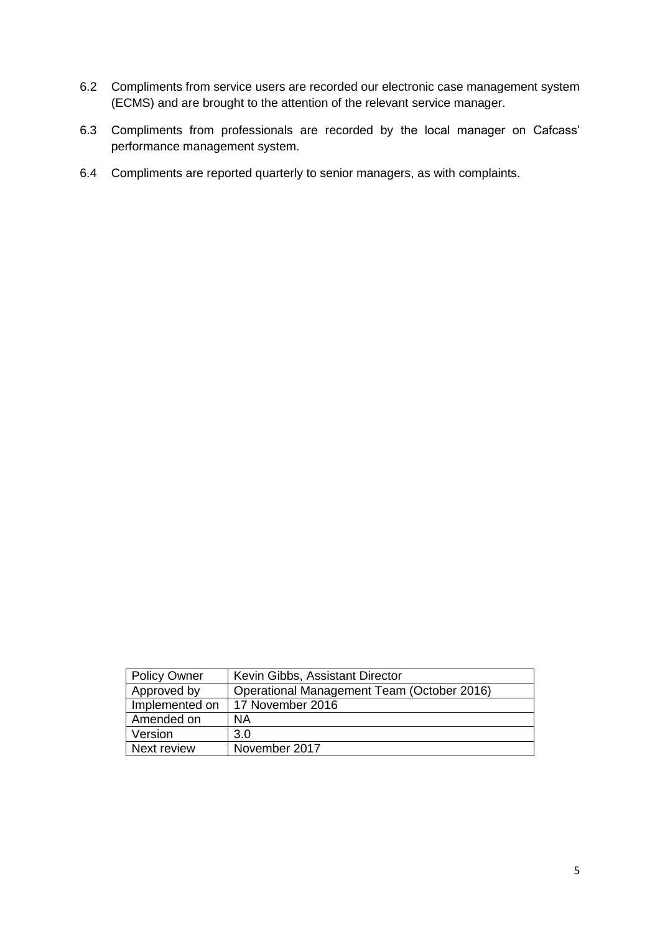- 6.2 Compliments from service users are recorded our electronic case management system (ECMS) and are brought to the attention of the relevant service manager.
- 6.3 Compliments from professionals are recorded by the local manager on Cafcass' performance management system.
- 6.4 Compliments are reported quarterly to senior managers, as with complaints.

| <b>Policy Owner</b> | Kevin Gibbs, Assistant Director            |
|---------------------|--------------------------------------------|
| Approved by         | Operational Management Team (October 2016) |
| Implemented on      | 17 November 2016                           |
| Amended on          | ΝA                                         |
| Version             | 3.0                                        |
| Next review         | November 2017                              |